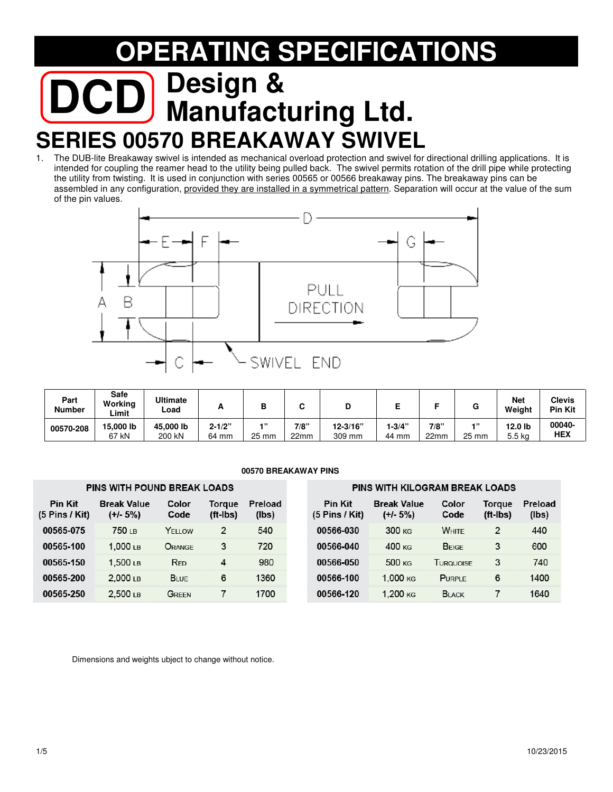# **RATING SPECIFICATIONS DCD Manufacturing Ltd. SERIES 00570 BREAKAWAY SWIVEL**<br>1. The DUB-lite Breakaway swivel is intended as mechanical overload protection and swivel for

The DUB-lite Breakaway swivel is intended as mechanical overload protection and swivel for directional drilling applications. It is intended for coupling the reamer head to the utility being pulled back. The swivel permits rotation of the drill pipe while protecting the utility from twisting. It is used in conjunction with series 00565 or 00566 breakaway pins. The breakaway pins can be assembled in any configuration, provided they are installed in a symmetrical pattern. Separation will occur at the value of the sum of the pin values.



| Part<br><b>Number</b> | Safe<br>Workina<br>∟imit | <b>Ultimate</b><br>∟oad | -          |         |      |              |         |      | u        | <b>Net</b><br>Weight | <b>Clevis</b><br><b>Pin Kit</b> |
|-----------------------|--------------------------|-------------------------|------------|---------|------|--------------|---------|------|----------|----------------------|---------------------------------|
| 00570-208             | 15.000 lb                | 45,000 lb               | $2 - 1/2"$ | $-1.33$ | 7/8" | $12 - 3/16"$ | $-3/4"$ | 7/8" | $-1, 33$ | 12.0 lb              | 00040-                          |
|                       | 67 kN                    | 200 kN                  | 64 mm      | 25 mm   | 22mm | 309 mm       | 44 mm   | 22mm | 25 mm    | 5.5 kg               | <b>HEX</b>                      |

#### **00570 BREAKAWAY PINS**

|                                    | <b>PINS WITH POUND BREAK LOADS</b> |               |                    |                         | <b>PINS WITH KILOGRAM BREAK LOADS</b> |                                  |                  |                    |                  |  |  |  |
|------------------------------------|------------------------------------|---------------|--------------------|-------------------------|---------------------------------------|----------------------------------|------------------|--------------------|------------------|--|--|--|
| <b>Pin Kit</b><br>$(5$ Pins / Kit) | <b>Break Value</b><br>$(+/- 5%)$   | Color<br>Code | Toraue<br>(ft-Ibs) | <b>Preload</b><br>(lbs) | <b>Pin Kit</b><br>$(5$ Pins / Kit)    | <b>Break Value</b><br>$(+/- 5%)$ | Color<br>Code    | Toraue<br>(ft-Ibs) | Preload<br>(lbs) |  |  |  |
| 00565-075                          | 750 <sub>LB</sub>                  | YELLOW        | 2                  | 540                     | 00566-030                             | 300 KG                           | <b>WHITE</b>     | 2                  | 440              |  |  |  |
| 00565-100                          | $1.000 \text{ }\mu\text{B}$        | ORANGE        | 3                  | 720                     | 00566-040                             | 400 <sub>KS</sub>                | <b>BEIGE</b>     | 3                  | 600              |  |  |  |
| 00565-150                          | $.500$ LB                          | <b>RED</b>    | 4                  | 980                     | 00566-050                             | 500 KG                           | <b>TURQUOISE</b> | 3                  | 740              |  |  |  |
| 00565-200                          | $2.000$ LB                         | <b>BLUE</b>   | 6                  | 1360                    | 00566-100                             | 1.000 <sub>KG</sub>              | <b>PURPLE</b>    | 6                  | 1400             |  |  |  |
| 00565-250                          | $2,500$ LB                         | Green         |                    | 1700                    | 00566-120                             | 1.200 KG                         | <b>BLACK</b>     |                    | 1640             |  |  |  |

Dimensions and weights ubject to change without notice.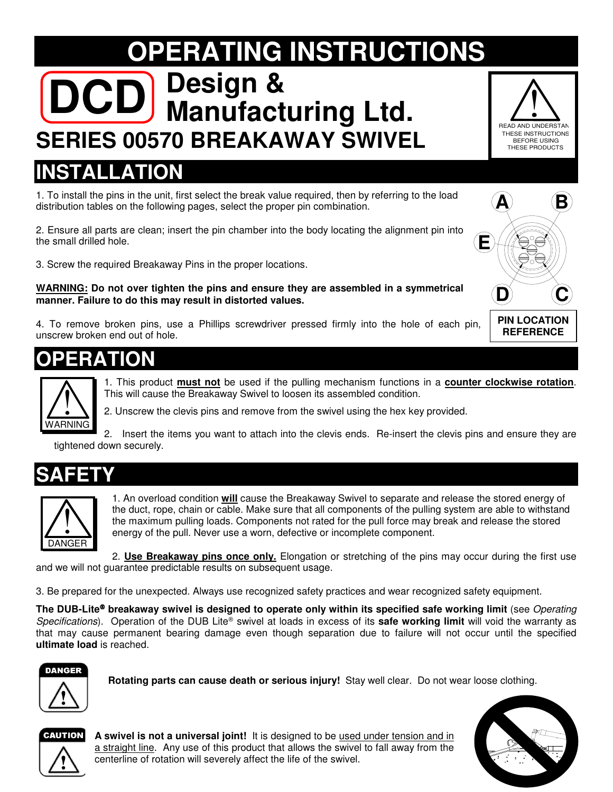# **OPERATING INSTRUCTIONS DCD Manufacturing Ltd. SERIES 00570 BREAKAWAY SWIVEL**



## **INSTALLATION**

1. To install the pins in the unit, first select the break value required, then by referring to the load distribution tables on the following pages, select the proper pin combination.

2. Ensure all parts are clean; insert the pin chamber into the body locating the alignment pin into the small drilled hole.

3. Screw the required Breakaway Pins in the proper locations.

**WARNING: Do not over tighten the pins and ensure they are assembled in a symmetrical manner. Failure to do this may result in distorted values.** 

4. To remove broken pins, use a Phillips screwdriver pressed firmly into the hole of each pin, unscrew broken end out of hole.



1. This product **must not** be used if the pulling mechanism functions in a **counter clockwise rotation**. This will cause the Breakaway Swivel to loosen its assembled condition.



2. Insert the items you want to attach into the clevis ends. Re-insert the clevis pins and ensure they are tightened down securely. .RNING



**!** 



1. An overload condition **will** cause the Breakaway Swivel to separate and release the stored energy of the duct, rope, chain or cable. Make sure that all components of the pulling system are able to withstand the maximum pulling loads. Components not rated for the pull force may break and release the stored energy of the pull. Never use a worn, defective or incomplete component.

2. **Use Breakaway pins once only.** Elongation or stretching of the pins may occur during the first use and we will not guarantee predictable results on subsequent usage.

3. Be prepared for the unexpected. Always use recognized safety practices and wear recognized safety equipment.

The DUB-Lite<sup>®</sup> breakaway swivel is designed to operate only within its specified safe working limit (see *Operating* Specifications). Operation of the DUB Lite® swivel at loads in excess of its **safe working limit** will void the warranty as that may cause permanent bearing damage even though separation due to failure will not occur until the specified **ultimate load** is reached.



**Rotating parts can cause death or serious injury!** Stay well clear. Do not wear loose clothing.



**2015 10/2016 10/2015 10/2015 10/2015 10/2015 10/2016 10/2016 10/2016 10/2016 10/3016 10/3016 10/3016 10/3016 10/3016 10/3016 10/3016 10/3016 10/3016 10/3016 10/3016 10/3016 10/3016 10/3016 10/3016 10/3016 10/3016 10/3016 A swivel is not a universal joint!** It is designed to be used under tension and in centerline of rotation will severely affect the life of the swivel.





**REFERENCE**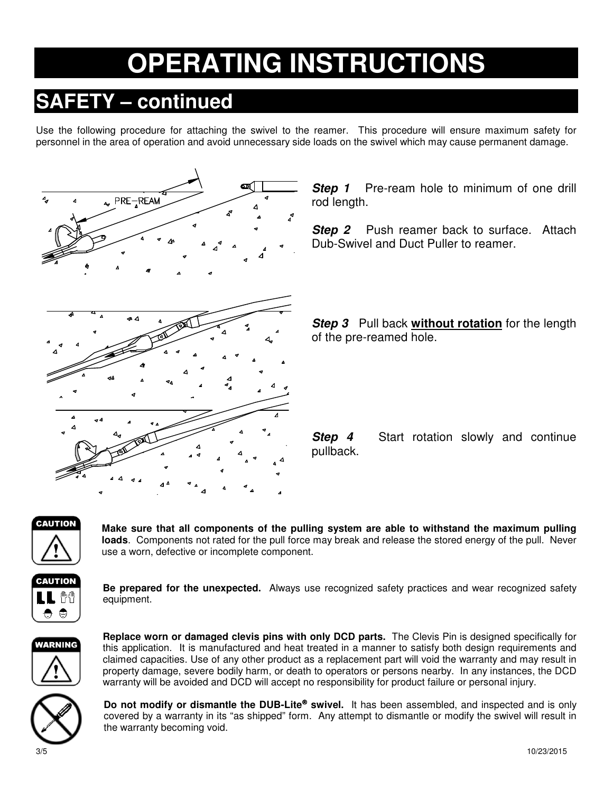## **OPERATING INSTRUCTIONS**

## **SAFETY – continued**

Use the following procedure for attaching the swivel to the reamer. This procedure will ensure maximum safety for personnel in the area of operation and avoid unnecessary side loads on the swivel which may cause permanent damage.



**Step 1** Pre-ream hole to minimum of one drill rod length.

**Step 2** Push reamer back to surface. Attach Dub-Swivel and Duct Puller to reamer.

**Step 3** Pull back **without rotation** for the length of the pre-reamed hole.

**Step 4** Start rotation slowly and continue pullback.



**Make sure that all components of the pulling system are able to withstand the maximum pulling loads**. Components not rated for the pull force may break and release the stored energy of the pull. Never use a worn, defective or incomplete component.



**Be prepared for the unexpected.** Always use recognized safety practices and wear recognized safety equipment.



**Replace worn or damaged clevis pins with only DCD parts.** The Clevis Pin is designed specifically for this application. It is manufactured and heat treated in a manner to satisfy both design requirements and claimed capacities. Use of any other product as a replacement part will void the warranty and may result in property damage, severe bodily harm, or death to operators or persons nearby. In any instances, the DCD warranty will be avoided and DCD will accept no responsibility for product failure or personal injury.



**Do not modify or dismantle the DUB-Lite<sup>®</sup> swivel.** It has been assembled, and inspected and is only covered by a warranty in its "as shipped" form. Any attempt to dismantle or modify the swivel will result in the warranty becoming void.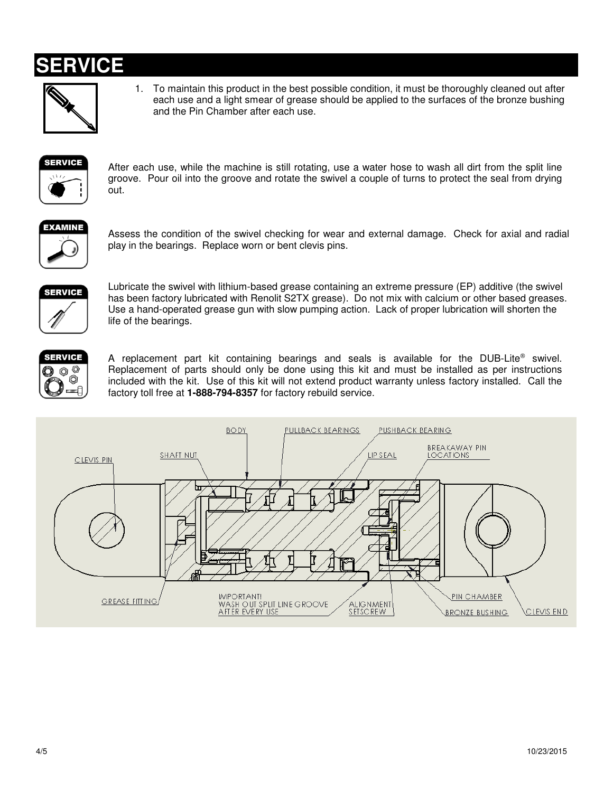### **ERVICE**



1. To maintain this product in the best possible condition, it must be thoroughly cleaned out after each use and a light smear of grease should be applied to the surfaces of the bronze bushing and the Pin Chamber after each use.



After each use, while the machine is still rotating, use a water hose to wash all dirt from the split line groove. Pour oil into the groove and rotate the swivel a couple of turns to protect the seal from drying out.



Assess the condition of the swivel checking for wear and external damage. Check for axial and radial play in the bearings. Replace worn or bent clevis pins.



Lubricate the swivel with lithium-based grease containing an extreme pressure (EP) additive (the swivel has been factory lubricated with Renolit S2TX grease). Do not mix with calcium or other based greases. Use a hand-operated grease gun with slow pumping action. Lack of proper lubrication will shorten the life of the bearings.



A replacement part kit containing bearings and seals is available for the DUB-Lite<sup>®</sup> swivel. Replacement of parts should only be done using this kit and must be installed as per instructions included with the kit. Use of this kit will not extend product warranty unless factory installed. Call the factory toll free at **1-888-794-8357** for factory rebuild service.